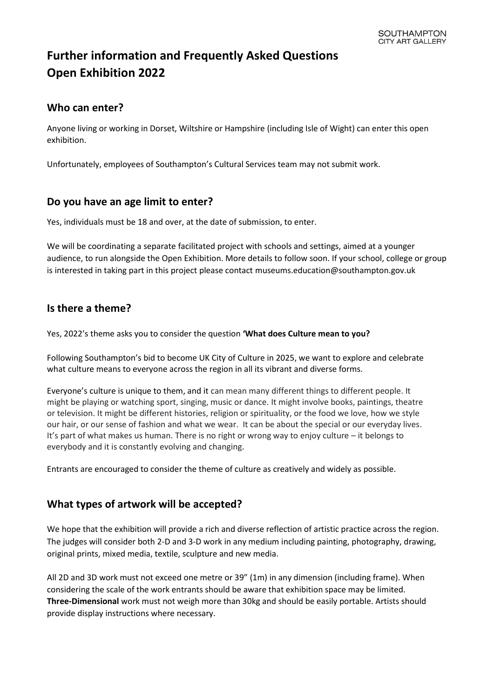# **Further information and Frequently Asked Questions Open Exhibition 2022**

# **[Who can enter?](https://summer.royalacademy.org.uk/Home/FAQ#question_84)**

Anyone living or working in Dorset, Wiltshire or Hampshire (including Isle of Wight) can enter this open exhibition.

Unfortunately, employees of Southampton's Cultural Services team may not submit work.

# **[Do you have an age limit to enter?](https://summer.royalacademy.org.uk/Home/FAQ#question_85)**

Yes, individuals must be 18 and over, at the date of submission, to enter.

We will be coordinating a separate facilitated project with schools and settings, aimed at a younger audience, to run alongside the Open Exhibition. More details to follow soon. If your school, college or group is interested in taking part in this project please contact museums.education@southampton.gov.uk

# **Is there a theme?**

Yes, 2022's theme asks you to consider the question **'What does Culture mean to you?**

Following Southampton's bid to become UK City of Culture in 2025, we want to explore and celebrate what culture means to everyone across the region in all its vibrant and diverse forms.

Everyone's culture is unique to them, and it can mean many different things to different people. It might be playing or watching sport, singing, music or dance. It might involve books, paintings, theatre or television. It might be different histories, religion or spirituality, or the food we love, how we style our hair, or our sense of fashion and what we wear. It can be about the special or our everyday lives. It's part of what makes us human. There is no right or wrong way to enjoy culture – it belongs to everybody and it is constantly evolving and changing.

Entrants are encouraged to consider the theme of culture as creatively and widely as possible.

# **What types of artwork will be accepted?**

We hope that the exhibition will provide a rich and diverse reflection of artistic practice across the region. The judges will consider both 2-D and 3-D work in any medium including painting, photography, drawing, original prints, mixed media, textile, sculpture and new media.

All 2D and 3D work must not exceed one metre or 39" (1m) in any dimension (including frame). When considering the scale of the work entrants should be aware that exhibition space may be limited. **Three-Dimensional** work must not weigh more than 30kg and should be easily portable. Artists should provide display instructions where necessary.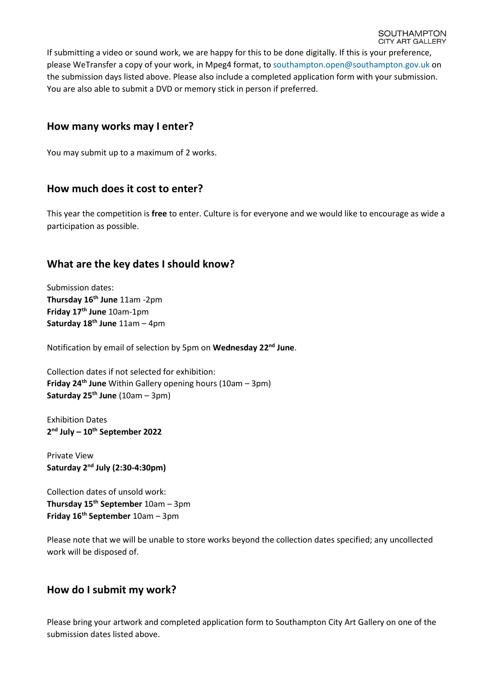If submitting a video or sound work, we are happy for this to be done digitally. If this is your preference, please WeTransfer a copy of your work, in Mpeg4 format, to [southampton.open@southampton.gov.uk](mailto:southampton.open@southampton.gov.uk) on the submission days listed above. Please also include a completed application form with your submission. You are also able to submit a DVD or memory stick in person if preferred.

#### **[How many works may I enter?](https://summer.royalacademy.org.uk/Home/FAQ#question_72)**

You may submit up to a maximum of 2 works.

#### **[How much does it cost to enter?](https://summer.royalacademy.org.uk/Home/FAQ#question_73)**

This year the competition is **free** to enter. Culture is for everyone and we would like to encourage as wide a participation as possible.

# **What are the key dates I should know?**

Submission dates: **Thursday 16th June** 11am -2pm **Friday 17th June** 10am-1pm **Saturday 18th June** 11am – 4pm

Notification by email of selection by 5pm on **Wednesday 22nd June**.

Collection dates if not selected for exhibition: **Friday 24th June** Within Gallery opening hours (10am – 3pm) **Saturday 25th June** (10am – 3pm)

Exhibition Dates **2 nd July – 10th September 2022**

Private View **Saturday 2 nd July (2:30-4:30pm)**

Collection dates of unsold work: **Thursday 15th September** 10am – 3pm **Friday 16th September** 10am – 3pm

Please note that we will be unable to store works beyond the collection dates specified; any uncollected work will be disposed of.

#### **How do I submit my work?**

Please bring your artwork and completed application form to Southampton City Art Gallery on one of the submission dates listed above.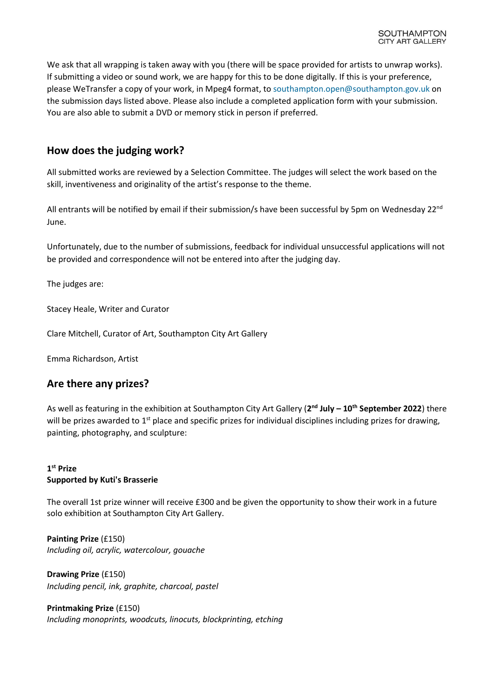We ask that all wrapping is taken away with you (there will be space provided for artists to unwrap works). If submitting a video or sound work, we are happy for this to be done digitally. If this is your preference, please WeTransfer a copy of your work, in Mpeg4 format, to [southampton.open@southampton.gov.uk](mailto:southampton.open@southampton.gov.uk) on the submission days listed above. Please also include a completed application form with your submission. You are also able to submit a DVD or memory stick in person if preferred.

#### **How does the judging work?**

All submitted works are reviewed by a Selection Committee. The judges will select the work based on the skill, inventiveness and originality of the artist's response to the theme.

All entrants will be notified by email if their submission/s have been successful by 5pm on Wednesday 22<sup>nd</sup> June.

Unfortunately, due to the number of submissions, feedback for individual unsuccessful applications will not be provided and correspondence will not be entered into after the judging day.

The judges are:

Stacey Heale, Writer and Curator

Clare Mitchell, Curator of Art, Southampton City Art Gallery

Emma Richardson, Artist

#### **Are there any prizes?**

As well as featuring in the exhibition at Southampton City Art Gallery (**2 nd July – 10th September 2022**) there will be prizes awarded to  $1<sup>st</sup>$  place and specific prizes for individual disciplines including prizes for drawing, painting, photography, and sculpture:

#### **1 st Prize Supported by Kuti's Brasserie**

The overall 1st prize winner will receive £300 and be given the opportunity to show their work in a future solo exhibition at Southampton City Art Gallery.

**Painting Prize** (£150) *Including oil, acrylic, watercolour, gouache*

**Drawing Prize** (£150) *Including pencil, ink, graphite, charcoal, pastel*

**Printmaking Prize** (£150) *Including monoprints, woodcuts, linocuts, blockprinting, etching*